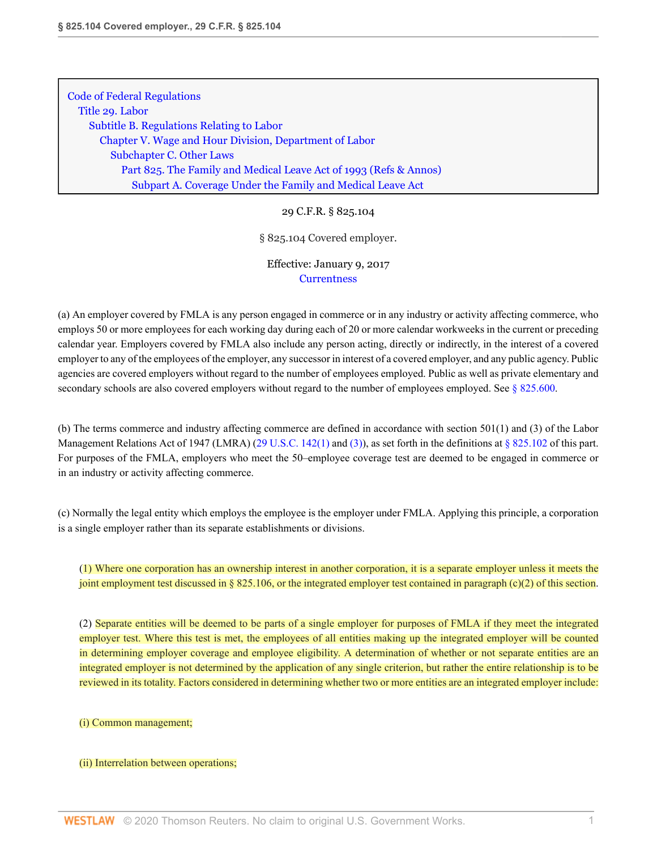[Code of Federal Regulations](http://www.westlaw.com/Browse/Home/Regulations/CodeofFederalRegulationsCFR?transitionType=DocumentItem&contextData=(sc.Category)&rs=clbt1.0&vr=3.0) [Title 29. Labor](http://www.westlaw.com/Browse/Home/Regulations/CodeofFederalRegulationsCFR?guid=NB2705200868811D983FAE1FB4EC4EA60&transitionType=DocumentItem&contextData=(sc.Category)&rs=clbt1.0&vr=3.0) [Subtitle B. Regulations Relating to Labor](http://www.westlaw.com/Browse/Home/Regulations/CodeofFederalRegulationsCFR?guid=N92F279B0868F11D983FAE1FB4EC4EA60&transitionType=DocumentItem&contextData=(sc.Category)&rs=clbt1.0&vr=3.0) [Chapter V. Wage and Hour Division, Department of Labor](http://www.westlaw.com/Browse/Home/Regulations/CodeofFederalRegulationsCFR?guid=N7D204620869011D983FAE1FB4EC4EA60&transitionType=DocumentItem&contextData=(sc.Category)&rs=clbt1.0&vr=3.0) [Subchapter C. Other Laws](http://www.westlaw.com/Browse/Home/Regulations/CodeofFederalRegulationsCFR?guid=NC45DC5C0869111D983FAE1FB4EC4EA60&transitionType=DocumentItem&contextData=(sc.Category)&rs=clbt1.0&vr=3.0) [Part 825. The Family and Medical Leave Act of 1993](http://www.westlaw.com/Browse/Home/Regulations/CodeofFederalRegulationsCFR?guid=N3D3086E070B811E2A64ED6D190F57BB6&transitionType=DocumentItem&contextData=(sc.Category)&rs=clbt1.0&vr=3.0) [\(Refs & Annos\)](http://www.westlaw.com/Link/Document/FullText?findType=l&cite=lk(CFRT29SUBTBCVSUBCCPT825R)&originatingDoc=NFFF47090D80311E6AE92C59DBCA745C2&refType=CM&sourceCite=29+C.F.R.+%c2%a7+825.104&originationContext=document&vr=3.0&rs=cblt1.0&transitionType=DocumentItem&contextData=(sc.Category)) [Subpart A. Coverage Under the Family and Medical Leave Act](http://www.westlaw.com/Browse/Home/Regulations/CodeofFederalRegulationsCFR?guid=NB903BEE070B811E2A64ED6D190F57BB6&transitionType=DocumentItem&contextData=(sc.Category)&rs=clbt1.0&vr=3.0)

## 29 C.F.R. § 825.104

### § 825.104 Covered employer.

# Effective: January 9, 2017 **[Currentness](#page-1-0)**

(a) An employer covered by FMLA is any person engaged in commerce or in any industry or activity affecting commerce, who employs 50 or more employees for each working day during each of 20 or more calendar workweeks in the current or preceding calendar year. Employers covered by FMLA also include any person acting, directly or indirectly, in the interest of a covered employer to any of the employees of the employer, any successor in interest of a covered employer, and any public agency. Public agencies are covered employers without regard to the number of employees employed. Public as well as private elementary and secondary schools are also covered employers without regard to the number of employees employed. See [§ 825.600](http://www.westlaw.com/Link/Document/FullText?findType=L&pubNum=1000547&cite=29CFRS825.600&originatingDoc=NFFF47090D80311E6AE92C59DBCA745C2&refType=VP&originationContext=document&vr=3.0&rs=cblt1.0&transitionType=DocumentItem&contextData=(sc.Category)).

(b) The terms commerce and industry affecting commerce are defined in accordance with section 501(1) and (3) of the Labor Management Relations Act of 1947 (LMRA) [\(29 U.S.C. 142\(1\)](http://www.westlaw.com/Link/Document/FullText?findType=L&pubNum=1000546&cite=29USCAS142&originatingDoc=NFFF47090D80311E6AE92C59DBCA745C2&refType=RB&originationContext=document&vr=3.0&rs=cblt1.0&transitionType=DocumentItem&contextData=(sc.Category)#co_pp_f1c50000821b0) and [\(3\)\)](http://www.westlaw.com/Link/Document/FullText?findType=L&pubNum=1000546&cite=29USCAS142&originatingDoc=NFFF47090D80311E6AE92C59DBCA745C2&refType=RB&originationContext=document&vr=3.0&rs=cblt1.0&transitionType=DocumentItem&contextData=(sc.Category)#co_pp_d08f0000f5f67), as set forth in the definitions at [§ 825.102](http://www.westlaw.com/Link/Document/FullText?findType=L&pubNum=1000547&cite=29CFRS825.102&originatingDoc=NFFF47090D80311E6AE92C59DBCA745C2&refType=VP&originationContext=document&vr=3.0&rs=cblt1.0&transitionType=DocumentItem&contextData=(sc.Category)) of this part. For purposes of the FMLA, employers who meet the 50–employee coverage test are deemed to be engaged in commerce or in an industry or activity affecting commerce.

(c) Normally the legal entity which employs the employee is the employer under FMLA. Applying this principle, a corporation is a single employer rather than its separate establishments or divisions.

(1) Where one corporation has an ownership interest in another corporation, it is a separate employer unless it meets the joint employment test discussed in  $\S 825.106$ , or the integrated employer test contained in paragraph (c)(2) of this section.

(2) Separate entities will be deemed to be parts of a single employer for purposes of FMLA if they meet the integrated employer test. Where this test is met, the employees of all entities making up the integrated employer will be counted in determining employer coverage and employee eligibility. A determination of whether or not separate entities are an integrated employer is not determined by the application of any single criterion, but rather the entire relationship is to be reviewed in its totality. Factors considered in determining whether two or more entities are an integrated employer include:

### (i) Common management;

#### (ii) Interrelation between operations;